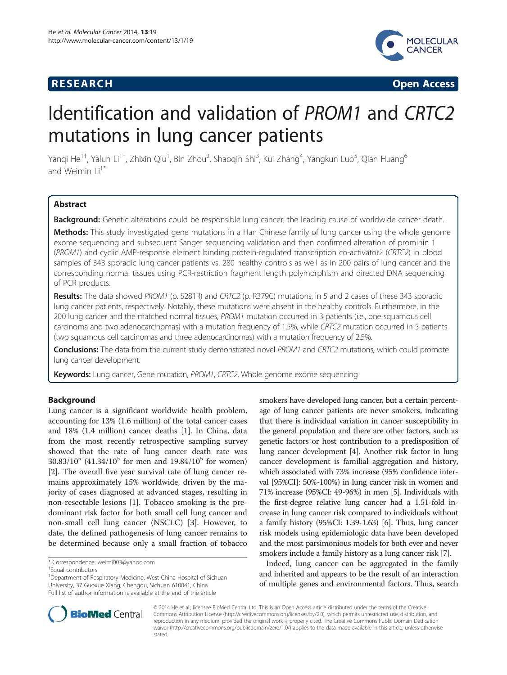## **RESEARCH CHINESE ARCH CHINESE ARCH CHINESE ARCH <b>CHINESE ARCH**



# Identification and validation of PROM1 and CRTC2 mutations in lung cancer patients

Yanqi He<sup>1†</sup>, Yalun Li<sup>1†</sup>, Zhixin Qiu<sup>1</sup>, Bin Zhou<sup>2</sup>, Shaoqin Shi<sup>3</sup>, Kui Zhang<sup>4</sup>, Yangkun Luo<sup>5</sup>, Qian Huang<sup>6</sup> and Weimin  $Li^{1*}$ 

## Abstract

Background: Genetic alterations could be responsible lung cancer, the leading cause of worldwide cancer death.

Methods: This study investigated gene mutations in a Han Chinese family of lung cancer using the whole genome exome sequencing and subsequent Sanger sequencing validation and then confirmed alteration of prominin 1 (PROM1) and cyclic AMP-response element binding protein-regulated transcription co-activator2 (CRTC2) in blood samples of 343 sporadic lung cancer patients vs. 280 healthy controls as well as in 200 pairs of lung cancer and the corresponding normal tissues using PCR-restriction fragment length polymorphism and directed DNA sequencing of PCR products.

Results: The data showed PROM1 (p. S281R) and CRTC2 (p. R379C) mutations, in 5 and 2 cases of these 343 sporadic lung cancer patients, respectively. Notably, these mutations were absent in the healthy controls. Furthermore, in the 200 lung cancer and the matched normal tissues, PROM1 mutation occurred in 3 patients (i.e., one squamous cell carcinoma and two adenocarcinomas) with a mutation frequency of 1.5%, while CRTC2 mutation occurred in 5 patients (two squamous cell carcinomas and three adenocarcinomas) with a mutation frequency of 2.5%.

Conclusions: The data from the current study demonstrated novel PROM1 and CRTC2 mutations, which could promote lung cancer development.

Keywords: Lung cancer, Gene mutation, PROM1, CRTC2, Whole genome exome sequencing

## Background

Lung cancer is a significant worldwide health problem, accounting for 13% (1.6 million) of the total cancer cases and 18% (1.4 million) cancer deaths [[1\]](#page-7-0). In China, data from the most recently retrospective sampling survey showed that the rate of lung cancer death rate was  $30.83/10^5$  (41.34/10<sup>5</sup> for men and 19.84/10<sup>5</sup> for women) [[2\]](#page-7-0). The overall five year survival rate of lung cancer remains approximately 15% worldwide, driven by the majority of cases diagnosed at advanced stages, resulting in non-resectable lesions [\[1](#page-7-0)]. Tobacco smoking is the predominant risk factor for both small cell lung cancer and non-small cell lung cancer (NSCLC) [\[3](#page-7-0)]. However, to date, the defined pathogenesis of lung cancer remains to be determined because only a small fraction of tobacco

<sup>1</sup> Department of Respiratory Medicine, West China Hospital of Sichuan University, 37 Guoxue Xiang, Chengdu, Sichuan 610041, China Full list of author information is available at the end of the article

smokers have developed lung cancer, but a certain percentage of lung cancer patients are never smokers, indicating that there is individual variation in cancer susceptibility in the general population and there are other factors, such as genetic factors or host contribution to a predisposition of lung cancer development [[4\]](#page-7-0). Another risk factor in lung cancer development is familial aggregation and history, which associated with 73% increase (95% confidence interval [95%CI]: 50%-100%) in lung cancer risk in women and 71% increase (95%CI: 49-96%) in men [\[5\]](#page-7-0). Individuals with the first-degree relative lung cancer had a 1.51-fold increase in lung cancer risk compared to individuals without a family history (95%CI: 1.39-1.63) [[6](#page-7-0)]. Thus, lung cancer risk models using epidemiologic data have been developed and the most parsimonious models for both ever and never smokers include a family history as a lung cancer risk [[7\]](#page-7-0).

Indeed, lung cancer can be aggregated in the family and inherited and appears to be the result of an interaction of multiple genes and environmental factors. Thus, search



© 2014 He et al.; licensee BioMed Central Ltd. This is an Open Access article distributed under the terms of the Creative Commons Attribution License [\(http://creativecommons.org/licenses/by/2.0\)](http://creativecommons.org/licenses/by/2.0), which permits unrestricted use, distribution, and reproduction in any medium, provided the original work is properly cited. The Creative Commons Public Domain Dedication waiver [\(http://creativecommons.org/publicdomain/zero/1.0/\)](http://creativecommons.org/publicdomain/zero/1.0/) applies to the data made available in this article, unless otherwise stated.

<sup>\*</sup> Correspondence: [weimi003@yahoo.com](mailto:weimi003@yahoo.com) †

Equal contributors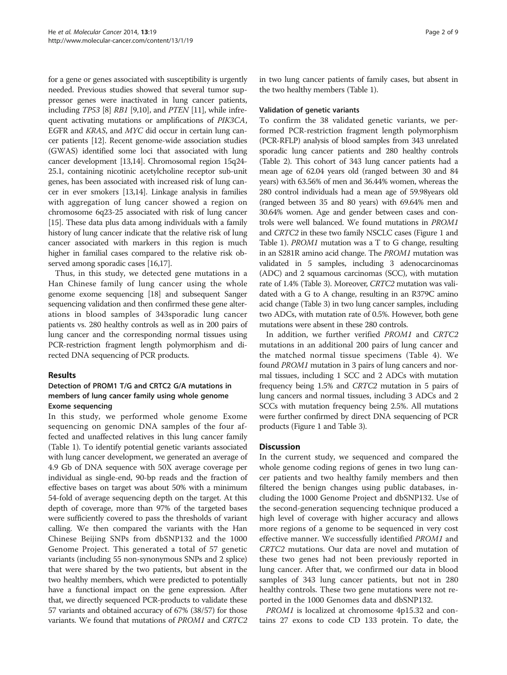for a gene or genes associated with susceptibility is urgently needed. Previous studies showed that several tumor suppressor genes were inactivated in lung cancer patients, including TP53 [\[8\]](#page-7-0) RB1 [\[9,10](#page-7-0)], and PTEN [[11](#page-7-0)], while infrequent activating mutations or amplifications of PIK3CA, EGFR and KRAS, and MYC did occur in certain lung cancer patients [\[12\]](#page-7-0). Recent genome-wide association studies (GWAS) identified some loci that associated with lung cancer development [\[13,14](#page-7-0)]. Chromosomal region 15q24- 25.1, containing nicotinic acetylcholine receptor sub-unit genes, has been associated with increased risk of lung cancer in ever smokers [\[13,14](#page-7-0)]. Linkage analysis in families with aggregation of lung cancer showed a region on chromosome 6q23-25 associated with risk of lung cancer [[15](#page-7-0)]. These data plus data among individuals with a family history of lung cancer indicate that the relative risk of lung cancer associated with markers in this region is much higher in familial cases compared to the relative risk observed among sporadic cases [\[16,17](#page-7-0)].

Thus, in this study, we detected gene mutations in a Han Chinese family of lung cancer using the whole genome exome sequencing [[18](#page-7-0)] and subsequent Sanger sequencing validation and then confirmed these gene alterations in blood samples of 343sporadic lung cancer patients vs. 280 healthy controls as well as in 200 pairs of lung cancer and the corresponding normal tissues using PCR-restriction fragment length polymorphism and directed DNA sequencing of PCR products.

## Results

## Detection of PROM1 T/G and CRTC2 G/A mutations in members of lung cancer family using whole genome Exome sequencing

In this study, we performed whole genome Exome sequencing on genomic DNA samples of the four affected and unaffected relatives in this lung cancer family (Table [1\)](#page-2-0). To identify potential genetic variants associated with lung cancer development, we generated an average of 4.9 Gb of DNA sequence with 50X average coverage per individual as single-end, 90-bp reads and the fraction of effective bases on target was about 50% with a minimum 54-fold of average sequencing depth on the target. At this depth of coverage, more than 97% of the targeted bases were sufficiently covered to pass the thresholds of variant calling. We then compared the variants with the Han Chinese Beijing SNPs from dbSNP132 and the 1000 Genome Project. This generated a total of 57 genetic variants (including 55 non-synonymous SNPs and 2 splice) that were shared by the two patients, but absent in the two healthy members, which were predicted to potentially have a functional impact on the gene expression. After that, we directly sequenced PCR-products to validate these 57 variants and obtained accuracy of 67% (38/57) for those variants. We found that mutations of PROM1 and CRTC2 in two lung cancer patients of family cases, but absent in the two healthy members (Table [1](#page-2-0)).

## Validation of genetic variants

To confirm the 38 validated genetic variants, we performed PCR-restriction fragment length polymorphism (PCR-RFLP) analysis of blood samples from 343 unrelated sporadic lung cancer patients and 280 healthy controls (Table [2\)](#page-3-0). This cohort of 343 lung cancer patients had a mean age of 62.04 years old (ranged between 30 and 84 years) with 63.56% of men and 36.44% women, whereas the 280 control individuals had a mean age of 59.98years old (ranged between 35 and 80 years) with 69.64% men and 30.64% women. Age and gender between cases and controls were well balanced. We found mutations in PROM1 and CRTC2 in these two family NSCLC cases (Figure [1](#page-4-0) and Table [1\)](#page-2-0). PROM1 mutation was a T to G change, resulting in an S281R amino acid change. The PROM1 mutation was validated in 5 samples, including 3 adenocarcinomas (ADC) and 2 squamous carcinomas (SCC), with mutation rate of 1.4% (Table [3\)](#page-4-0). Moreover, CRTC2 mutation was validated with a G to A change, resulting in an R379C amino acid change (Table [3\)](#page-4-0) in two lung cancer samples, including two ADCs, with mutation rate of 0.5%. However, both gene mutations were absent in these 280 controls.

In addition, we further verified PROM1 and CRTC2 mutations in an additional 200 pairs of lung cancer and the matched normal tissue specimens (Table [4](#page-5-0)). We found PROM1 mutation in 3 pairs of lung cancers and normal tissues, including 1 SCC and 2 ADCs with mutation frequency being 1.5% and CRTC2 mutation in 5 pairs of lung cancers and normal tissues, including 3 ADCs and 2 SCCs with mutation frequency being 2.5%. All mutations were further confirmed by direct DNA sequencing of PCR products (Figure [1](#page-4-0) and Table [3](#page-4-0)).

## Discussion

In the current study, we sequenced and compared the whole genome coding regions of genes in two lung cancer patients and two healthy family members and then filtered the benign changes using public databases, including the 1000 Genome Project and dbSNP132. Use of the second-generation sequencing technique produced a high level of coverage with higher accuracy and allows more regions of a genome to be sequenced in very cost effective manner. We successfully identified PROM1 and CRTC2 mutations. Our data are novel and mutation of these two genes had not been previously reported in lung cancer. After that, we confirmed our data in blood samples of 343 lung cancer patients, but not in 280 healthy controls. These two gene mutations were not reported in the 1000 Genomes data and dbSNP132.

PROM1 is localized at chromosome 4p15.32 and contains 27 exons to code CD 133 protein. To date, the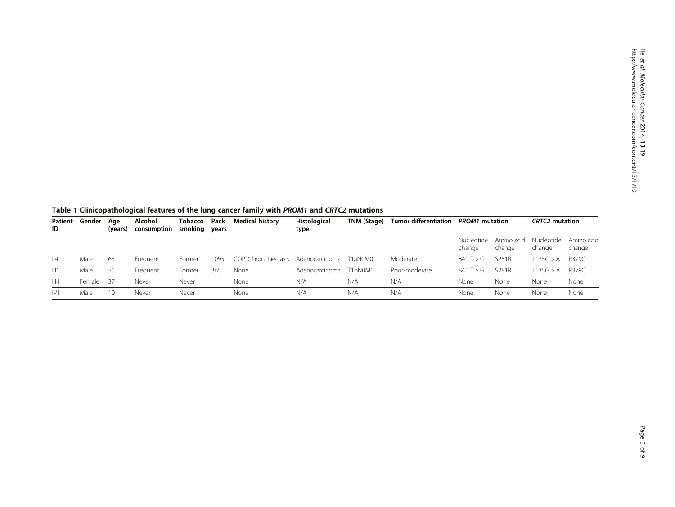| Patient<br>ID | Alcohol<br>Gender<br>Aae<br>consumption<br>(years) |     | Tobacco<br>smoking years | Pack   | Histological<br><b>Medical history</b><br>type |                                     |                | <b>Tumor differentiation</b> | <b>PROM1</b> mutation |                      | <b>CRTC2</b> mutation |                      |                      |
|---------------|----------------------------------------------------|-----|--------------------------|--------|------------------------------------------------|-------------------------------------|----------------|------------------------------|-----------------------|----------------------|-----------------------|----------------------|----------------------|
|               |                                                    |     |                          |        |                                                |                                     |                |                              |                       | Nucleotide<br>change | Amino acid<br>change  | Nucleotide<br>change | Amino acid<br>change |
| 4             | Male                                               | -65 | Frequent                 | Former | 1095                                           | COPD, bronchiectasis Adenocarcinoma |                | T1aN0M0                      | Moderate              | 841 T $>$ G          | S281R                 | 1135G > A            | R379C                |
| III1          | Male                                               | -51 | Frequent                 | Former | 365                                            | None                                | Adenocarcinoma | T1bN0M0                      | Poor-moderate         | 841 T > G            | S281R                 | 1135G > A            | R379C                |
| III4          | Female                                             | -37 | Never                    | Never  |                                                | None                                | N/A            | N/A                          | N/A                   | None                 | None                  | None                 | None                 |
| IV1           | Male                                               | 10  | Never                    | Never  |                                                | None                                | N/A            | N/A                          | N/A                   | None                 | None                  | None                 | None                 |

<span id="page-2-0"></span>

|  |  |  |  | Table 1 Clinicopathological features of the lung cancer family with PROM1 and CRTC2 mutations |
|--|--|--|--|-----------------------------------------------------------------------------------------------|
|--|--|--|--|-----------------------------------------------------------------------------------------------|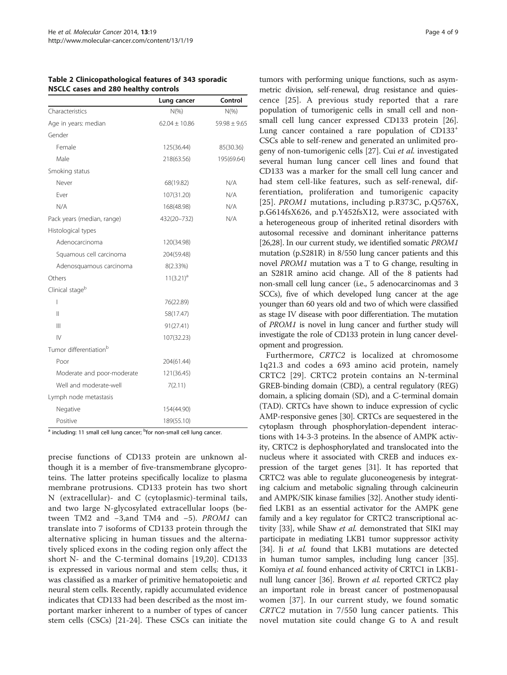|                                    | Lung cancer       | Control          |
|------------------------------------|-------------------|------------------|
| Characteristics                    | $N(\%)$           | $N(\%)$          |
| Age in years: median               | $62.04 \pm 10.86$ | $59.98 \pm 9.65$ |
| Gender                             |                   |                  |
| Female                             | 125(36.44)        | 85(30.36)        |
| Male                               | 218(63.56)        | 195(69.64)       |
| Smoking status                     |                   |                  |
| Never                              | 68(19.82)         | N/A              |
| Ever                               | 107(31.20)        | N/A              |
| N/A                                | 168(48.98)        | N/A              |
| Pack years (median, range)         | 432(20-732)       | N/A              |
| Histological types                 |                   |                  |
| Adenocarcinoma                     | 120(34.98)        |                  |
| Squamous cell carcinoma            | 204(59.48)        |                  |
| Adenosquamous carcinoma            | 8(2.33%)          |                  |
| Others                             | $11(3.21)^a$      |                  |
| Clinical stage <sup>b</sup>        |                   |                  |
| I                                  | 76(22.89)         |                  |
| Ш                                  | 58(17.47)         |                  |
| $\parallel$                        | 91(27.41)         |                  |
| $\mathsf{IV}$                      | 107(32.23)        |                  |
| Tumor differentiation <sup>b</sup> |                   |                  |
| Poor                               | 204(61.44)        |                  |
| Moderate and poor-moderate         | 121(36.45)        |                  |
| Well and moderate-well             | 7(2.11)           |                  |
| Lymph node metastasis              |                   |                  |
| Negative                           | 154(44.90)        |                  |
| Positive                           | 189(55.10)        |                  |

<span id="page-3-0"></span>Table 2 Clinicopathological features of 343 sporadic nscheiden and 280 healthy controls

<sup>a</sup> including: 11 small cell lung cancer; <sup>b</sup>for non-small cell lung cancer.

precise functions of CD133 protein are unknown although it is a member of five-transmembrane glycoproteins. The latter proteins specifically localize to plasma membrane protrusions. CD133 protein has two short N (extracellular)- and C (cytoplasmic)-terminal tails, and two large N-glycosylated extracellular loops (between TM2 and −3,and TM4 and −5). PROM1 can translate into 7 isoforms of CD133 protein through the alternative splicing in human tissues and the alternatively spliced exons in the coding region only affect the short N- and the C-terminal domains [[19,20](#page-7-0)]. CD133 is expressed in various normal and stem cells; thus, it was classified as a marker of primitive hematopoietic and neural stem cells. Recently, rapidly accumulated evidence indicates that CD133 had been described as the most important marker inherent to a number of types of cancer stem cells (CSCs) [[21](#page-7-0)-[24\]](#page-8-0). These CSCs can initiate the

tumors with performing unique functions, such as asymmetric division, self-renewal, drug resistance and quiescence [\[25](#page-8-0)]. A previous study reported that a rare population of tumorigenic cells in small cell and nonsmall cell lung cancer expressed CD133 protein [\[26](#page-8-0)]. Lung cancer contained a rare population of  $CD133<sup>+</sup>$ CSCs able to self-renew and generated an unlimited progeny of non-tumorigenic cells [\[27](#page-8-0)]. Cui et al. investigated several human lung cancer cell lines and found that CD133 was a marker for the small cell lung cancer and had stem cell-like features, such as self-renewal, differentiation, proliferation and tumorigenic capacity [[25](#page-8-0)]. *PROM1* mutations, including p.R373C, p.O576X, p.G614fsX626, and p.Y452fsX12, were associated with a heterogeneous group of inherited retinal disorders with autosomal recessive and dominant inheritance patterns [[26,28\]](#page-8-0). In our current study, we identified somatic PROM1 mutation (p.S281R) in 8/550 lung cancer patients and this novel PROM1 mutation was a T to G change, resulting in an S281R amino acid change. All of the 8 patients had non-small cell lung cancer (i.e., 5 adenocarcinomas and 3 SCCs), five of which developed lung cancer at the age younger than 60 years old and two of which were classified as stage IV disease with poor differentiation. The mutation of PROM1 is novel in lung cancer and further study will investigate the role of CD133 protein in lung cancer development and progression.

Furthermore, CRTC2 is localized at chromosome 1q21.3 and codes a 693 amino acid protein, namely CRTC2 [[29](#page-8-0)]. CRTC2 protein contains an N-terminal GREB-binding domain (CBD), a central regulatory (REG) domain, a splicing domain (SD), and a C-terminal domain (TAD). CRTCs have shown to induce expression of cyclic AMP-responsive genes [\[30\]](#page-8-0). CRTCs are sequestered in the cytoplasm through phosphorylation-dependent interactions with 14-3-3 proteins. In the absence of AMPK activity, CRTC2 is dephosphorylated and translocated into the nucleus where it associated with CREB and induces expression of the target genes [\[31\]](#page-8-0). It has reported that CRTC2 was able to regulate gluconeogenesis by integrating calcium and metabolic signaling through calcineurin and AMPK/SIK kinase families [[32](#page-8-0)]. Another study identified LKB1 as an essential activator for the AMPK gene family and a key regulator for CRTC2 transcriptional ac-tivity [\[33\]](#page-8-0), while Shaw *et al.* demonstrated that SIKI may participate in mediating LKB1 tumor suppressor activity [[34](#page-8-0)]. Ji et al. found that LKB1 mutations are detected in human tumor samples, including lung cancer [[35](#page-8-0)]. Komiya et al. found enhanced activity of CRTC1 in LKB1- null lung cancer [\[36\]](#page-8-0). Brown *et al.* reported CRTC2 play an important role in breast cancer of postmenopausal women [\[37](#page-8-0)]. In our current study, we found somatic CRTC2 mutation in 7/550 lung cancer patients. This novel mutation site could change G to A and result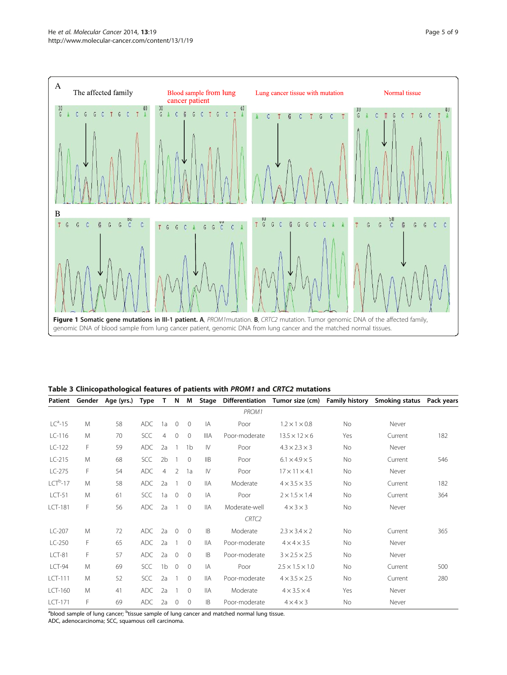<span id="page-4-0"></span>

Table 3 Clinicopathological features of patients with PROM1 and CRTC2 mutations

| Patient        | Gender | Age (yrs.) | <b>Type</b> |                | N              | M              | Stage          |                   | Differentiation Tumor size (cm) | <b>Family history</b> | Smoking status | Pack years |
|----------------|--------|------------|-------------|----------------|----------------|----------------|----------------|-------------------|---------------------------------|-----------------------|----------------|------------|
|                |        |            |             |                |                |                |                | PROM1             |                                 |                       |                |            |
| $LCa$ -15      | M      | 58         | <b>ADC</b>  | 1a             | $\circ$        | $\overline{0}$ | IA             | Poor              | $1.2 \times 1 \times 0.8$       | No                    | Never          |            |
| $LC-116$       | M      | 70         | SCC         | $\overline{4}$ | $\mathbf{0}$   | $\Omega$       | <b>IIIA</b>    | Poor-moderate     | $13.5 \times 12 \times 6$       | Yes                   | Current        | 182        |
| $LC-122$       | F      | 59         | <b>ADC</b>  | 2a             |                | 1 <sub>b</sub> | $\mathsf{N}$   | Poor              | $4.3 \times 2.3 \times 3$       | No                    | Never          |            |
| $LC-215$       | M      | 68         | <b>SCC</b>  | 2 <sub>b</sub> | 1              | $\Omega$       | $\mathsf{IIB}$ | Poor              | $6.1 \times 4.9 \times 5$       | No                    | Current        | 546        |
| $LC-275$       | F      | 54         | <b>ADC</b>  | $\overline{4}$ | 2              | 1a             | $\mathsf{N}$   | Poor              | $17 \times 11 \times 4.1$       | No                    | Never          |            |
| $LCTb - 17$    | M      | 58         | <b>ADC</b>  | 2a             | 1              | $\Omega$       | <b>IIA</b>     | Moderate          | $4 \times 3.5 \times 3.5$       | <b>No</b>             | Current        | 182        |
| $LCT-51$       | M      | 61         | <b>SCC</b>  | 1a             | $\mathbf{0}$   | $\Omega$       | IA             | Poor              | $2 \times 1.5 \times 1.4$       | <b>No</b>             | Current        | 364        |
| <b>LCT-181</b> | F      | 56         | <b>ADC</b>  | 2a             | 1              | $\overline{0}$ | <b>IIA</b>     | Moderate-well     | $4 \times 3 \times 3$           | No                    | Never          |            |
|                |        |            |             |                |                |                |                | CRTC <sub>2</sub> |                                 |                       |                |            |
| $LC-207$       | M      | 72         | <b>ADC</b>  | 2a             | $\mathbf{0}$   | $\overline{0}$ | <b>IB</b>      | Moderate          | $2.3 \times 3.4 \times 2$       | No                    | Current        | 365        |
| $LC-250$       | F      | 65         | <b>ADC</b>  | 2a             | 1              | $\Omega$       | <b>IIA</b>     | Poor-moderate     | $4 \times 4 \times 3.5$         | No                    | Never          |            |
| $LCT-81$       | F      | 57         | <b>ADC</b>  | 2a             | $\overline{0}$ | $\Omega$       | IB             | Poor-moderate     | $3 \times 2.5 \times 2.5$       | No                    | Never          |            |
| <b>LCT-94</b>  | M      | 69         | <b>SCC</b>  | 1 <sub>b</sub> | $\overline{0}$ | $\Omega$       | IA             | Poor              | $2.5 \times 1.5 \times 1.0$     | <b>No</b>             | Current        | 500        |
| LCT-111        | M      | 52         | <b>SCC</b>  | 2a             | 1              | $\Omega$       | <b>IIA</b>     | Poor-moderate     | $4 \times 3.5 \times 2.5$       | No                    | Current        | 280        |
| LCT-160        | M      | 41         | <b>ADC</b>  | 2a             | 1              | $\Omega$       | <b>IIA</b>     | Moderate          | $4 \times 3.5 \times 4$         | Yes                   | Never          |            |
| LCT-171        | F      | 69         | <b>ADC</b>  | 2a             | $\Omega$       | $\mathbf{0}$   | <b>IB</b>      | Poor-moderate     | $4 \times 4 \times 3$           | <b>No</b>             | Never          |            |

<sup>a</sup>blood sample of lung cancer; <sup>b</sup>tissue sample of lung cancer and matched normal lung tissue.

ADC, adenocarcinoma; SCC, squamous cell carcinoma.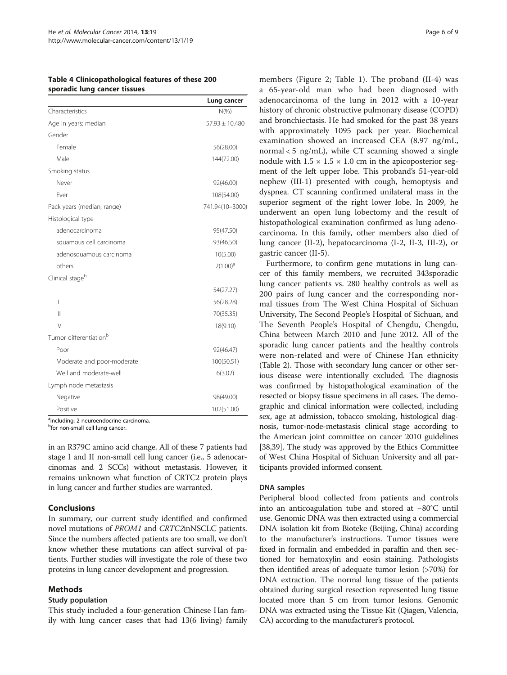<span id="page-5-0"></span>

| Table 4 Clinicopathological features of these 200 |  |
|---------------------------------------------------|--|
| sporadic lung cancer tissues                      |  |

|                                    | Lung cancer        |
|------------------------------------|--------------------|
| Characteristics                    | $N(\% )$           |
| Age in years: median               | $57.93 \pm 10.480$ |
| Gender                             |                    |
| Female                             | 56(28.00)          |
| Male                               | 144(72.00)         |
| Smoking status                     |                    |
| Never                              | 92(46.00)          |
| Ever                               | 108(54.00)         |
| Pack years (median, range)         | 741.94(10-3000)    |
| Histological type                  |                    |
| adenocarcinoma                     | 95(47.50)          |
| squamous cell carcinoma            | 93(46.50)          |
| adenosquamous carcinoma            | 10(5.00)           |
| others                             | $2(1.00)^a$        |
| Clinical stage <sup>b</sup>        |                    |
| I                                  | 54(27.27)          |
| $\mathbf{I}$                       | 56(28.28)          |
| Ш                                  | 70(35.35)          |
| $\mathsf{IV}$                      | 18(9.10)           |
| Tumor differentiation <sup>b</sup> |                    |
| Poor                               | 92(46.47)          |
| Moderate and poor-moderate         | 100(50.51)         |
| Well and moderate-well             | 6(3.02)            |
| Lymph node metastasis              |                    |
| Negative                           | 98(49.00)          |
| Positive                           | 102(51.00)         |

<sup>a</sup>including: 2 neuroendocrine carcinoma.

<sup>b</sup>for non-small cell lung cancer.

in an R379C amino acid change. All of these 7 patients had stage I and II non-small cell lung cancer (i.e., 5 adenocarcinomas and 2 SCCs) without metastasis. However, it remains unknown what function of CRTC2 protein plays in lung cancer and further studies are warranted.

## Conclusions

In summary, our current study identified and confirmed novel mutations of PROM1 and CRTC2inNSCLC patients. Since the numbers affected patients are too small, we don't know whether these mutations can affect survival of patients. Further studies will investigate the role of these two proteins in lung cancer development and progression.

## Methods

#### Study population

This study included a four-generation Chinese Han family with lung cancer cases that had 13(6 living) family

members (Figure [2](#page-6-0); Table [1](#page-2-0)). The proband (II-4) was a 65-year-old man who had been diagnosed with adenocarcinoma of the lung in 2012 with a 10-year history of chronic obstructive pulmonary disease (COPD) and bronchiectasis. He had smoked for the past 38 years with approximately 1095 pack per year. Biochemical examination showed an increased CEA (8.97 ng/mL, normal  $<$  5 ng/mL), while CT scanning showed a single nodule with  $1.5 \times 1.5 \times 1.0$  cm in the apicoposterior segment of the left upper lobe. This proband's 51-year-old nephew (III-1) presented with cough, hemoptysis and dyspnea. CT scanning confirmed unilateral mass in the superior segment of the right lower lobe. In 2009, he underwent an open lung lobectomy and the result of histopathological examination confirmed as lung adenocarcinoma. In this family, other members also died of lung cancer (II-2), hepatocarcinoma (I-2, II-3, III-2), or gastric cancer (II-5).

Furthermore, to confirm gene mutations in lung cancer of this family members, we recruited 343sporadic lung cancer patients vs. 280 healthy controls as well as 200 pairs of lung cancer and the corresponding normal tissues from The West China Hospital of Sichuan University, The Second People's Hospital of Sichuan, and The Seventh People's Hospital of Chengdu, Chengdu, China between March 2010 and June 2012. All of the sporadic lung cancer patients and the healthy controls were non-related and were of Chinese Han ethnicity (Table [2](#page-3-0)). Those with secondary lung cancer or other serious disease were intentionally excluded. The diagnosis was confirmed by histopathological examination of the resected or biopsy tissue specimens in all cases. The demographic and clinical information were collected, including sex, age at admission, tobacco smoking, histological diagnosis, tumor-node-metastasis clinical stage according to the American joint committee on cancer 2010 guidelines [[38,39\]](#page-8-0). The study was approved by the Ethics Committee of West China Hospital of Sichuan University and all participants provided informed consent.

#### DNA samples

Peripheral blood collected from patients and controls into an anticoagulation tube and stored at −80°C until use. Genomic DNA was then extracted using a commercial DNA isolation kit from Bioteke (Beijing, China) according to the manufacturer's instructions. Tumor tissues were fixed in formalin and embedded in paraffin and then sectioned for hematoxylin and eosin staining. Pathologists then identified areas of adequate tumor lesion (>70%) for DNA extraction. The normal lung tissue of the patients obtained during surgical resection represented lung tissue located more than 5 cm from tumor lesions. Genomic DNA was extracted using the Tissue Kit (Qiagen, Valencia, CA) according to the manufacturer's protocol.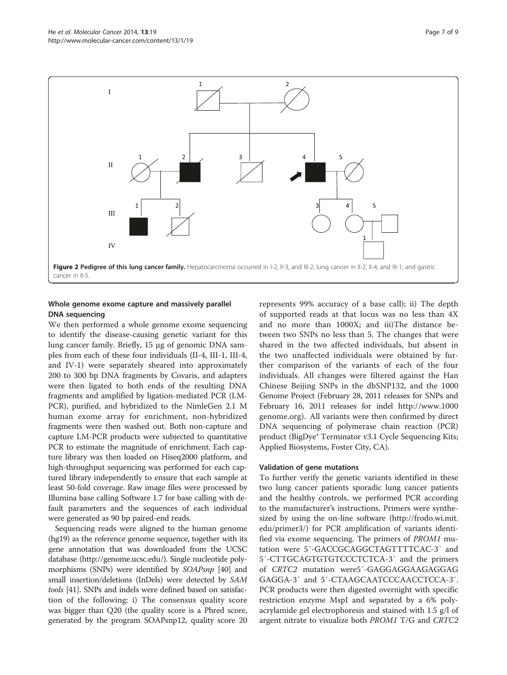<span id="page-6-0"></span>

## Whole genome exome capture and massively parallel DNA sequencing

We then performed a whole genome exome sequencing to identify the disease-causing genetic variant for this lung cancer family. Briefly, 15 μg of genomic DNA samples from each of these four individuals (II-4, III-1, III-4, and IV-1) were separately sheared into approximately 200 to 300 bp DNA fragments by Covaris, and adapters were then ligated to both ends of the resulting DNA fragments and amplified by ligation-mediated PCR (LM-PCR), purified, and hybridized to the NimleGen 2.1 M human exome array for enrichment, non-hybridized fragments were then washed out. Both non-capture and capture LM-PCR products were subjected to quantitative PCR to estimate the magnitude of enrichment. Each capture library was then loaded on Hiseq2000 platform, and high-throughput sequencing was performed for each captured library independently to ensure that each sample at least 50-fold coverage. Raw image files were processed by Illumina base calling Software 1.7 for base calling with default parameters and the sequences of each individual were generated as 90 bp paired-end reads.

Sequencing reads were aligned to the human genome (hg19) as the reference genome sequence, together with its gene annotation that was downloaded from the UCSC database [\(http://genome.ucsc.edu/\)](http://genome.ucsc.edu/). Single nucleotide polymorphisms (SNPs) were identified by SOAPsnp [\[40](#page-8-0)] and small insertion/deletions (InDels) were detected by SAM tools [[41](#page-8-0)]. SNPs and indels were defined based on satisfaction of the following: i) The consensus quality score was bigger than Q20 (the quality score is a Phred score, generated by the program SOAPsnp12, quality score 20 represents 99% accuracy of a base call); ii) The depth of supported reads at that locus was no less than 4X and no more than 1000X; and iii)The distance between two SNPs no less than 5. The changes that were shared in the two affected individuals, but absent in the two unaffected individuals were obtained by further comparison of the variants of each of the four individuals. All changes were filtered against the Han Chinese Beijing SNPs in the dbSNP132, and the 1000 Genome Project (February 28, 2011 releases for SNPs and February 16, 2011 releases for indel [http://www.1000](http://www.1000genome.org) [genome.org](http://www.1000genome.org)). All variants were then confirmed by direct DNA sequencing of polymerase chain reaction (PCR) product (BigDye® Terminator v3.1 Cycle Sequencing Kits; Applied Biosystems, Foster City, CA).

## Validation of gene mutations

To further verify the genetic variants identified in these two lung cancer patients sporadic lung cancer patients and the healthy controls, we performed PCR according to the manufacturer's instructions. Primers were synthesized by using the on-line software ([http://frodo.wi.mit.](http://frodo.wi.mit.edu/primer3/) [edu/primer3/](http://frodo.wi.mit.edu/primer3/)) for PCR amplification of variants identified via exome sequencing. The primers of PROM1 mutation were 5′-GACCGCAGGCTAGTTTTCAC-3′ and 5′-CTTGCAGTGTGTCCCTCTCA-3′ and the primers of CRTC2 mutation were5′-GAGGAGGAAGAGGAG GAGGA-3′ and 5′-CTAAGCAATCCCAACCTCCA-3′. PCR products were then digested overnight with specific restriction enzyme MspI and separated by a 6% polyacrylamide gel electrophoresis and stained with 1.5 g/l of argent nitrate to visualize both PROM1 T/G and CRTC2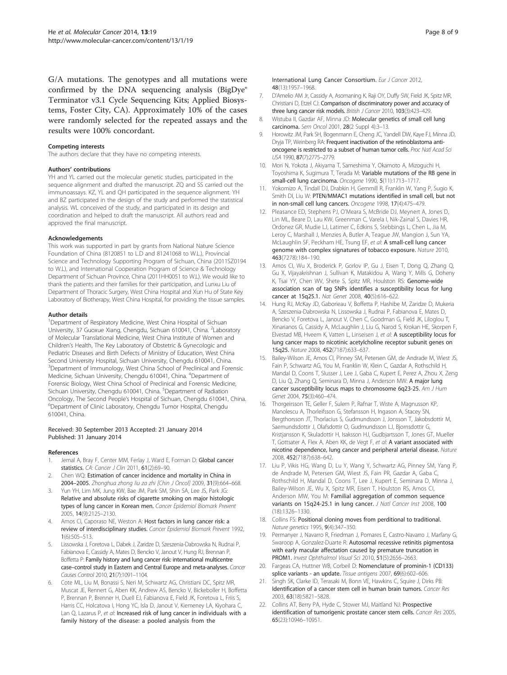<span id="page-7-0"></span>G/A mutations. The genotypes and all mutations were confirmed by the DNA sequencing analysis (BigDye® Terminator v3.1 Cycle Sequencing Kits; Applied Biosystems, Foster City, CA). Approximately 10% of the cases were randomly selected for the repeated assays and the results were 100% concordant.

#### Competing interests

The authors declare that they have no competing interests.

#### Authors' contributions

YH and YL carried out the molecular genetic studies, participated in the sequence alignment and drafted the manuscript. ZQ and SS carried out the immunoassays. KZ, YL and QH participated in the sequence alignment. YH and BZ participated in the design of the study and performed the statistical analysis. WL conceived of the study, and participated in its design and coordination and helped to draft the manuscript. All authors read and approved the final manuscript.

#### Acknowledgements

This work was supported in part by grants from National Nature Science Foundation of China (8120851 to L.D and 81241068 to W.L.), Provincial Science and Technology Supporting Program of Sichuan, China (2011SZ0194 to W.L), and International Cooperation Program of Science & Technology Department of Sichuan Province, China (2011HH0051 to W.L). We would like to thank the patients and their families for their participation, and Lunxu Liu of Department of Thoracic Surgery, West China Hospital and Xun Hu of State Key Laboratory of Biotherapy, West China Hospital, for providing the tissue samples.

#### Author details

<sup>1</sup>Department of Respiratory Medicine, West China Hospital of Sichuan University, 37 Guoxue Xiang, Chengdu, Sichuan 610041, China. <sup>2</sup>Laboratory of Molecular Translational Medicine, West China Institute of Women and Children's Health, The Key Laboratory of Obstetric & Gynecologic and Pediatric Diseases and Birth Defects of Ministry of Education, West China Second University Hospital, Sichuan University, Chengdu 610041, China. <sup>3</sup>Department of Immunology, West China School of Preclinical and Forensic Medicine, Sichuan University, Chengdu 610041, China. <sup>4</sup>Department of Forensic Biology, West China School of Preclinical and Forensic Medicine, Sichuan University, Chengdu 610041, China. <sup>5</sup>Department of Radiation Oncology, The Second People's Hospital of Sichuan, Chengdu 610041, China. <sup>6</sup> Department of Clinic Laboratory, Chengdu Tumor Hospital, Chengdu 610041, China.

#### Received: 30 September 2013 Accepted: 21 January 2014 Published: 31 January 2014

#### References

- 1. Jemal A, Bray F, Center MM, Ferlay J, Ward E, Forman D: Global cancer statistics. CA: Cancer J Clin 2011, 61(2):69–90.
- 2. Chen WQ: Estimation of cancer incidence and mortality in China in 2004–2005. Zhonghua zhong liu za zhi [Chin J Oncol] 2009, 31(9):664–668.
- 3. Yun YH, Lim MK, Jung KW, Bae JM, Park SM, Shin SA, Lee JS, Park JG: Relative and absolute risks of cigarette smoking on major histologic types of lung cancer in Korean men. Cancer Epidemiol Biomark Prevent 2005, 14(9):2125–2130.
- 4. Amos CI, Caporaso NE, Weston A: Host factors in lung cancer risk: a review of interdisciplinary studies. Cancer Epidemiol Biomark Prevent 1992, 1(6):505–513.
- Lissowska J, Foretova L, Dabek J, Zaridze D, Szeszenia-Dabrowska N, Rudnai P, Fabianova E, Cassidy A, Mates D, Bencko V, Janout V, Hung RJ, Brennan P, Boffetta P: Family history and lung cancer risk: international multicentre case–control study in Eastern and Central Europe and meta-analyses. Cancer Causes Control 2010, 21(7):1091–1104.
- Cote ML, Liu M, Bonassi S, Neri M, Schwartz AG, Christiani DC, Spitz MR, Muscat JE, Rennert G, Aben KK, Andrew AS, Bencko V, Bickeboller H, Boffetta P, Brennan P, Brenner H, Duell EJ, Fabianova E, Field JK, Foretova L, Friis S, Harris CC, Holcatova I, Hong YC, Isla D, Janout V, Kiemeney LA, Kiyohara C, Lan Q, Lazarus P, et al: Increased risk of lung cancer in individuals with a family history of the disease: a pooled analysis from the

International Lung Cancer Consortium. Eur J Cancer 2012, 48(13):1957–1968.

- 7. D'Amelio AM Jr, Cassidy A, Asomaning K, Raji OY, Duffy SW, Field JK, Spitz MR, Christiani D, Etzel CJ: Comparison of discriminatory power and accuracy of three lung cancer risk models. British J Cancer 2010, 103(3):423-429.
- 8. Wistuba II, Gazdar AF, Minna JD: Molecular genetics of small cell lung carcinoma. Sem Oncol 2001, 28(2 Suppl 4):3–13.
- 9. Horowitz JM, Park SH, Bogenmann E, Cheng JC, Yandell DW, Kaye FJ, Minna JD, Dryja TP, Weinberg RA: Frequent inactivation of the retinoblastoma antioncogene is restricted to a subset of human tumor cells. Proc Natl Acad Sci USA 1990, 87(7):2775–2779.
- 10. Mori N, Yokota J, Akiyama T, Sameshima Y, Okamoto A, Mizoguchi H, Toyoshima K, Sugimura T, Terada M: Variable mutations of the RB gene in small-cell lung carcinoma. Oncogene 1990, 5(11):1713–1717.
- 11. Yokomizo A, Tindall DJ, Drabkin H, Gemmill R, Franklin W, Yang P, Sugio K, Smith DI, Liu W: PTEN/MMAC1 mutations identified in small cell, but not in non-small cell lung cancers. Oncogene 1998, 17(4):475–479.
- 12. Pleasance ED, Stephens PJ, O'Meara S, McBride DJ, Meynert A, Jones D, Lin ML, Beare D, Lau KW, Greenman C, Varela I, Nik-Zainal S, Davies HR, Ordonez GR, Mudie LJ, Latimer C, Edkins S, Stebbings L, Chen L, Jia M, Leroy C, Marshall J, Menzies A, Butler A, Teague JW, Mangion J, Sun YA, McLaughlin SF, Peckham HE, Tsung EF, et al: A small-cell lung cancer genome with complex signatures of tobacco exposure. Nature 2010, 463(7278):184–190.
- 13. Amos CI, Wu X, Broderick P, Gorlov IP, Gu J, Eisen T, Dong Q, Zhang Q, Gu X, Vijayakrishnan J, Sullivan K, Matakidou A, Wang Y, Mills G, Doheny K, Tsai YY, Chen WV, Shete S, Spitz MR, Houlston RS: Genome-wide association scan of tag SNPs identifies a susceptibility locus for lung cancer at 15q25.1. Nat Genet 2008, 40(5):616–622.
- 14. Hung RJ, McKay JD, Gaborieau V, Boffetta P, Hashibe M, Zaridze D, Mukeria A, Szeszenia-Dabrowska N, Lissowska J, Rudnai P, Fabianova E, Mates D, Bencko V, Foretova L, Janout V, Chen C, Goodman G, Field JK, Liloglou T, Xinarianos G, Cassidy A, McLaughlin J, Liu G, Narod S, Krokan HE, Skorpen F, Elvestad MB, Hveem K, Vatten L, Linseisen J, et al: A susceptibility locus for lung cancer maps to nicotinic acetylcholine receptor subunit genes on 15q25. Nature 2008, 452(7187):633–637.
- 15. Bailey-Wilson JE, Amos CI, Pinney SM, Petersen GM, de Andrade M, Wiest JS, Fain P, Schwartz AG, You M, Franklin W, Klein C, Gazdar A, Rothschild H, Mandal D, Coons T, Slusser J, Lee J, Gaba C, Kupert E, Perez A, Zhou X, Zeng D, Liu Q, Zhang Q, Seminara D, Minna J, Anderson MW: A major lung cancer susceptibility locus maps to chromosome 6q23-25. Am J Hum Genet 2004, 75(3):460–474.
- 16. Thorgeirsson TE, Geller F, Sulem P, Rafnar T, Wiste A, Magnusson KP, Manolescu A, Thorleifsson G, Stefansson H, Ingason A, Stacey SN, Bergthorsson JT, Thorlacius S, Gudmundsson J, Jonsson T, Jakobsdottir M, Saemundsdottir J, Olafsdottir O, Gudmundsson LJ, Bjornsdottir G, Kristjansson K, Skuladottir H, Isaksson HJ, Gudbjartsson T, Jones GT, Mueller T, Gottsater A, Flex A, Aben KK, de Vegt F, et al: A variant associated with nicotine dependence, lung cancer and peripheral arterial disease. Nature 2008, 452(7187):638–642.
- 17. Liu P, Vikis HG, Wang D, Lu Y, Wang Y, Schwartz AG, Pinney SM, Yang P, de Andrade M, Petersen GM, Wiest JS, Fain PR, Gazdar A, Gaba C, Rothschild H, Mandal D, Coons T, Lee J, Kupert E, Seminara D, Minna J, Bailey-Wilson JE, Wu X, Spitz MR, Eisen T, Houlston RS, Amos CI, Anderson MW, You M: Familial aggregation of common sequence variants on 15q24-25.1 in lung cancer. J Natl Cancer Inst 2008, 100 (18):1326–1330.
- 18. Collins FS: Positional cloning moves from perditional to traditional. Nature genetics 1995, 9(4):347–350.
- 19. Permanyer J, Navarro R, Friedman J, Pomares E, Castro-Navarro J, Marfany G, Swaroop A, Gonzalez-Duarte R: Autosomal recessive retinitis pigmentosa with early macular affectation caused by premature truncation in PROM1. Invest Ophthalmol Visual Sci 2010, 51(5):2656–2663.
- 20. Fargeas CA, Huttner WB, Corbeil D: Nomenclature of prominin-1 (CD133) splice variants - an update. Tissue antigens 2007, 69(6):602-606.
- 21. Singh SK, Clarke ID, Terasaki M, Bonn VE, Hawkins C, Squire J, Dirks PB: Identification of a cancer stem cell in human brain tumors. Cancer Res 2003, 63(18):5821–5828.
- 22. Collins AT, Berry PA, Hyde C, Stower MJ, Maitland NJ: Prospective identification of tumorigenic prostate cancer stem cells. Cancer Res 2005, 65(23):10946–10951.